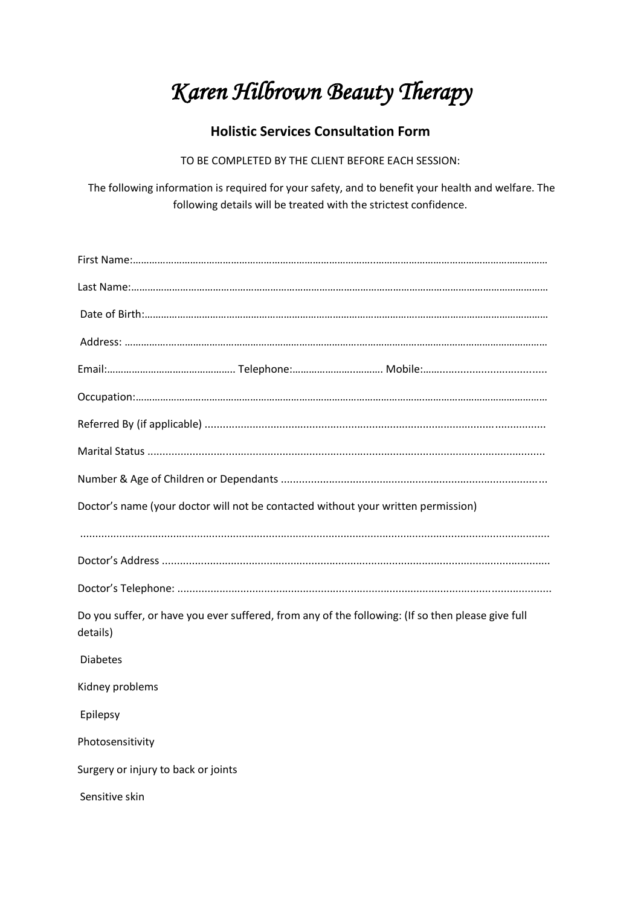## *Karen Hilbrown Beauty Therapy*

## **Holistic Services Consultation Form**

TO BE COMPLETED BY THE CLIENT BEFORE EACH SESSION:

The following information is required for your safety, and to benefit your health and welfare. The following details will be treated with the strictest confidence.

| Doctor's name (your doctor will not be contacted without your written permission)                             |
|---------------------------------------------------------------------------------------------------------------|
|                                                                                                               |
|                                                                                                               |
|                                                                                                               |
| Do you suffer, or have you ever suffered, from any of the following: (If so then please give full<br>details) |
| <b>Diabetes</b>                                                                                               |
| Kidney problems                                                                                               |
| Epilepsy                                                                                                      |
|                                                                                                               |
| Photosensitivity                                                                                              |
| Surgery or injury to back or joints                                                                           |